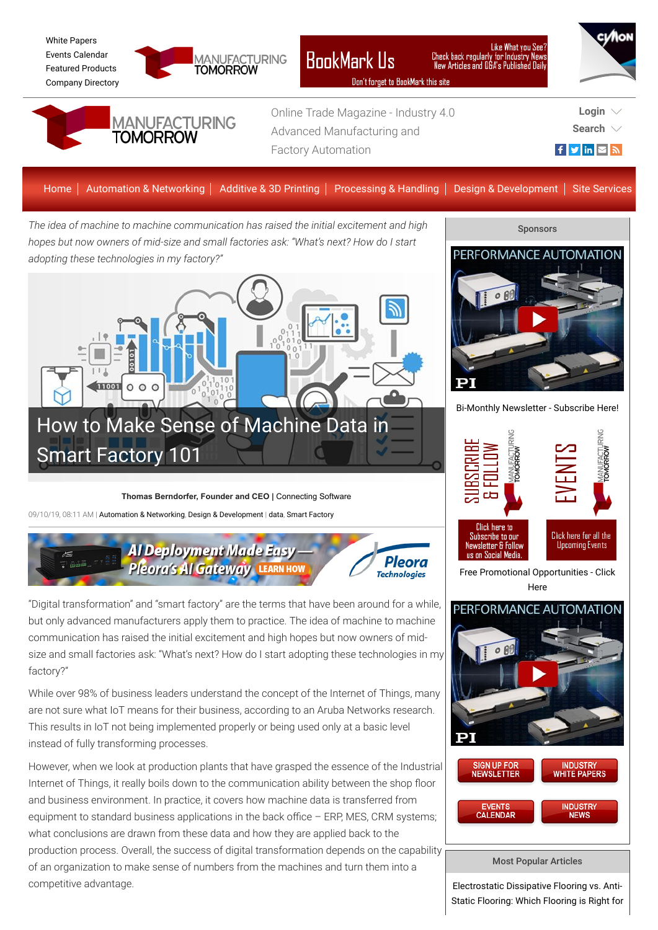

[White Papers](https://www.manufacturingtomorrow.com/whitepapers.php) [Events Calendar](https://www.manufacturingtomorrow.com/events.php) [Featured Products](https://www.manufacturingtomorrow.com/products.php) [Company Directory](https://www.manufacturingtomorrow.com/company_directory_search.php)



factory?"



# **BookMark Us**

?Like What you See<br>Check back regularly for Industry News<br>New Articles and Q&A's Published Daily

While over 98% of business leaders understand the concept of the Internet of Things, many

are not sure what IoT means for their business, according to an Aruba Networks research. This results in IoT not being implemented properly or being used only at a basic level instead of fully transforming processes.

However, when we look at production plants that have grasped the essence of the Industrial Internet of Things, it really boils down to the communication ability between the shop floor and business environment. In practice, it covers how machine data is transferred from equipment to standard business applications in the back office  $-$  ERP, MES, CRM systems; what conclusions are drawn from these data and how they are applied back to the production process. Overall, the success of digital transformation depends on the capability of an organization to make sense of numbers from the machines and turn them into a competitive advantage.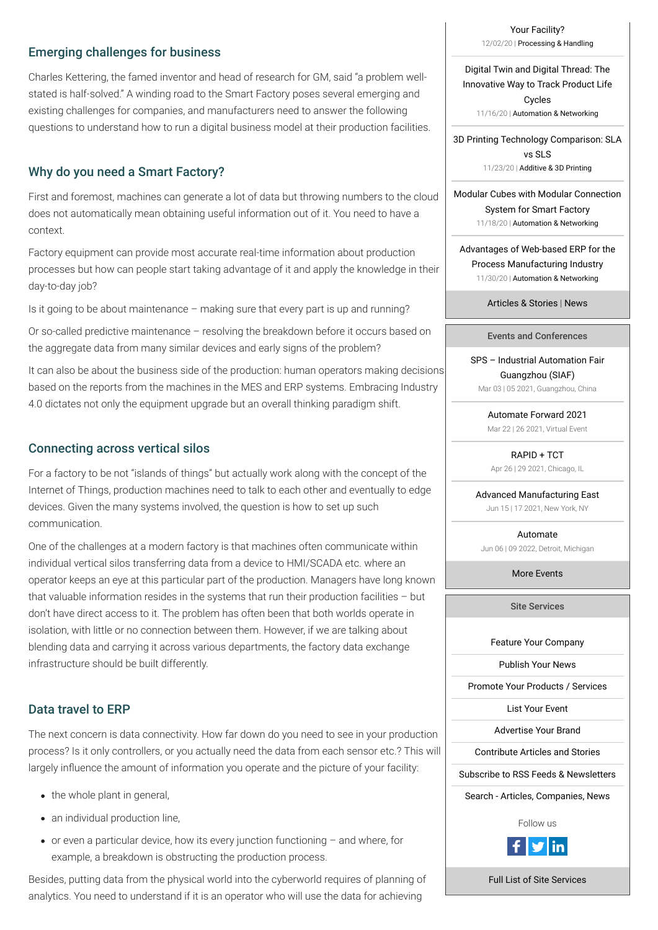[Your Facility?](https://www.manufacturingtomorrow.com/article/2020/12/electrostatic-dissipative-flooring-vs-anti-static-flooring-which-flooring-is-right-for-your-facility/16205) 12/02/20 | [Processing & Handling](https://www.manufacturingtomorrow.com/category/materials-processes)

Digital Twin and Digital Thread: The [Innovative Way to Track Product Life](https://www.manufacturingtomorrow.com/article/2020/11/digital-twin-and-digital-thread-the-innovative-way-to-track-product-life-cycles/16140) Cycles 11/16/20 | [Automation & Networking](https://www.manufacturingtomorrow.com/category/automation-networking)

[3D Printing Technology Comparison: SLA](https://www.manufacturingtomorrow.com/article/2020/11/3d-printing-technology-comparison-sla-vs-sls/16173) vs SLS 11/23/20 | [Additive & 3D Printing](https://www.manufacturingtomorrow.com/category/additive-3dprinting)

[Modular Cubes with Modular Connection](https://www.manufacturingtomorrow.com/article/2020/11/modular-cubes-with-modular-connection-system-for-smart-factory/16155) System for Smart Factory 11/18/20 | [Automation & Networking](https://www.manufacturingtomorrow.com/category/automation-networking)

[Advantages of Web-based ERP for the](https://www.manufacturingtomorrow.com/article/2020/11/advantages-of-web-based-erp-for-the-process-manufacturing-industry/16192) Process Manufacturing Industry 11/30/20 | [Automation & Networking](https://www.manufacturingtomorrow.com/category/automation-networking)

[Articles & Stories](https://www.manufacturingtomorrow.com/stream/articles/) | [News](https://www.manufacturingtomorrow.com/stream/news/)

Events and Conferences

[SPS – Industrial Automation Fair](https://spsinchina.cn.messefrankfurt.com/guangzhou/en.html) Guangzhou (SIAF) Mar 03 | 05 2021, Guangzhou, China

> [Automate Forward 2021](https://a3.a3automate.org/a3/events/EventDetail?EventKey=AUTOFWD21) Mar 22 | 26 2021, Virtual Event

[RAPID + TCT](http://www.rapid3devent.com/) Apr 26 | 29 2021, Chicago, IL

[Advanced Manufacturing East](https://www.advancedmanufacturingeast.com/en/home.html) Jun 15 | 17 2021, New York, NY

[Automate](https://www.automateshow.com/) Jun 06 | 09 2022, Detroit, Michigan

[More Events](https://www.manufacturingtomorrow.com/events.php)

Site Services

[Feature Your Company](https://www.manufacturingtomorrow.com/company_directory_search.php)

[Publish Your News](https://www.manufacturingtomorrow.com/streaming.php?type=n)

[Promote Your Products / Services](https://www.manufacturingtomorrow.com/products.php)

#### [List Your Event](https://www.manufacturingtomorrow.com/events.php)

[Advertise Your Brand](https://www.manufacturingtomorrow.com/advertise.php)

[Contribute Articles and Stories](https://www.manufacturingtomorrow.com/associates.php#Article)

[Subscribe to RSS Feeds & Newsletters](https://www.manufacturingtomorrow.com/subscribe.php)

[Search - Articles, Companies, News](https://www.manufacturingtomorrow.com/search.php)

Follow us



[Full List of Site Services](https://www.manufacturingtomorrow.com/site_services.php)

## Emerging challenges for business

Charles Kettering, the famed inventor and head of research for GM, said "a problem wellstated is half-solved." A winding road to the Smart Factory poses several emerging and existing challenges for companies, and manufacturers need to answer the following questions to understand how to run a digital business model at their production facilities.

# Why do you need a Smart Factory?

First and foremost, machines can generate a lot of data but throwing numbers to the cloud does not automatically mean obtaining useful information out of it. You need to have a context.

The next concern is data connectivity. How far down do you need to see in your production process? Is it only controllers, or you actually need the data from each sensor etc.? This will largely influence the amount of information you operate and the picture of your facility:

Factory equipment can provide most accurate real-time information about production processes but how can people start taking advantage of it and apply the knowledge in their day-to-day job?

Is it going to be about maintenance – making sure that every part is up and running?

- $\bullet$  the whole plant in general,
- an individual production line,
- $\bullet$  or even a particular device, how its every junction functioning  $-$  and where, for example, a breakdown is obstructing the production process.

Or so-called predictive maintenance – resolving the breakdown before it occurs based on the aggregate data from many similar devices and early signs of the problem?

It can also be about the business side of the production: human operators making decisions based on the reports from the machines in the MES and ERP systems. Embracing Industry 4.0 dictates not only the equipment upgrade but an overall thinking paradigm shift.

## Connecting across vertical silos

For a factory to be not "islands of things" but actually work along with the concept of the Internet of Things, production machines need to talk to each other and eventually to edge devices. Given the many systems involved, the question is how to set up such communication.

One of the challenges at a modern factory is that machines often communicate within individual vertical silos transferring data from a device to HMI/SCADA etc. where an operator keeps an eye at this particular part of the production. Managers have long known that valuable information resides in the systems that run their production facilities – but don't have direct access to it. The problem has often been that both worlds operate in isolation, with little or no connection between them. However, if we are talking about blending data and carrying it across various departments, the factory data exchange infrastructure should be built differently.

## Data travel to ERP

Besides, putting data from the physical world into the cyberworld requires of planning of analytics. You need to understand if it is an operator who will use the data for achieving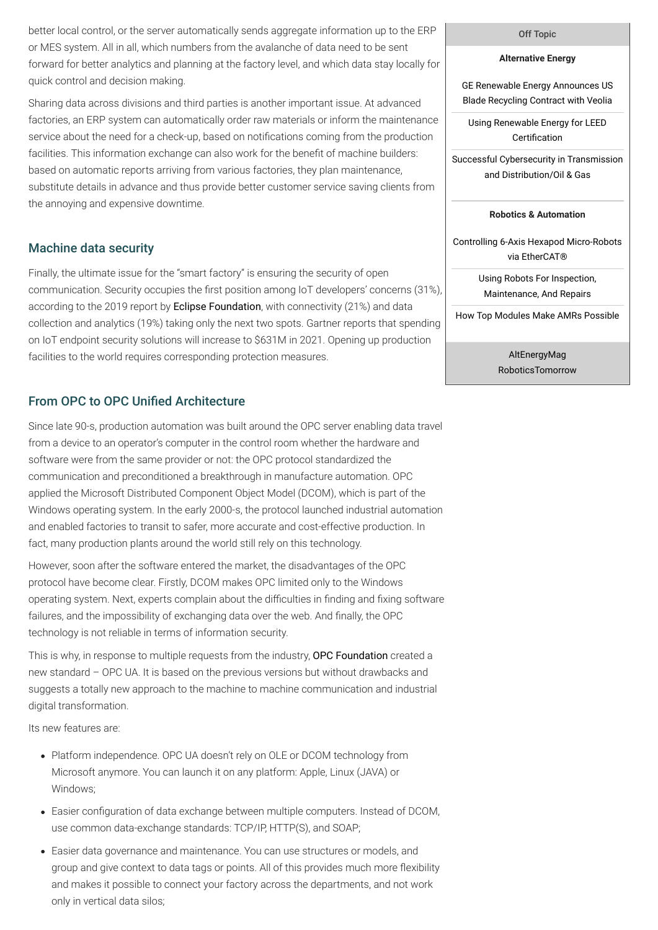#### Off Topic

### **Alternative Energy**

[Using Renewable Energy for LEED](http://www.altenergymag.com/stream/stories/#34241) Certification

[GE Renewable Energy Announces US](http://www.altenergymag.com/stream/stories/#34245) Blade Recycling Contract with Veolia

[Successful Cybersecurity in Transmission](http://www.altenergymag.com/article/2020/12/successful-cybersecurity-in-transmission-and-distributionoil--gas/34228) and Distribution/Oil & Gas

### **Robotics & Automation**

[Controlling 6-Axis Hexapod Micro-Robots](http://www.roboticstomorrow.com/stream/stories/#16027) via EtherCAT®

> [Using Robots For Inspection,](http://www.roboticstomorrow.com/stream/stories/#16008) Maintenance, And Repairs

[How Top Modules Make AMRs Possible](http://www.roboticstomorrow.com/article/2020/12/how-top-modules-make-amrs-possible/16006)

[AltEnergyMag](http://www.altenergymag.com/) [RoboticsTomorrow](http://www.roboticstomorrow.com/)

better local control, or the server automatically sends aggregate information up to the ERP or MES system. All in all, which numbers from the avalanche of data need to be sent forward for better analytics and planning at the factory level, and which data stay locally for quick control and decision making.

Sharing data across divisions and third parties is another important issue. At advanced factories, an ERP system can automatically order raw materials or inform the maintenance service about the need for a check-up, based on notifications coming from the production facilities. This information exchange can also work for the benefit of machine builders: based on automatic reports arriving from various factories, they plan maintenance, substitute details in advance and thus provide better customer service saving clients from the annoying and expensive downtime.

## Machine data security

Finally, the ultimate issue for the "smart factory" is ensuring the security of open communication. Security occupies the first position among IoT developers' concerns (31%), according to the 2019 report by **[Eclipse Foundation](https://drive.google.com/file/d/17WEobD5Etfw5JnoKC1g4IME_XCtPNGGc/view)**, with connectivity (21%) and data collection and analytics (19%) taking only the next two spots. Gartner reports that spending on IoT endpoint security solutions will increase to \$631M in 2021. Opening up production facilities to the world requires corresponding protection measures.

## From OPC to OPC Unified Architecture

This is why, in response to multiple requests from the industry, **[OPC Foundation](https://opcfoundation.org/)** created a new standard – OPC UA. It is based on the previous versions but without drawbacks and suggests a totally new approach to the machine to machine communication and industrial digital transformation.

- Platform independence. OPC UA doesn't rely on OLE or DCOM technology from Microsoft anymore. You can launch it on any platform: Apple, Linux (JAVA) or Windows;
- Easier configuration of data exchange between multiple computers. Instead of DCOM, use common data-exchange standards: TCP/IP, HTTP(S), and SOAP;
- Easier data governance and maintenance. You can use structures or models, and group and give context to data tags or points. All of this provides much more flexibility and makes it possible to connect your factory across the departments, and not work only in vertical data silos;

Since late 90-s, production automation was built around the OPC server enabling data travel from a device to an operator's computer in the control room whether the hardware and software were from the same provider or not: the OPC protocol standardized the communication and preconditioned a breakthrough in manufacture automation. OPC applied the Microsoft Distributed Component Object Model (DCOM), which is part of the Windows operating system. In the early 2000-s, the protocol launched industrial automation and enabled factories to transit to safer, more accurate and cost-effective production. In fact, many production plants around the world still rely on this technology.

However, soon after the software entered the market, the disadvantages of the OPC protocol have become clear. Firstly, DCOM makes OPC limited only to the Windows operating system. Next, experts complain about the difficulties in finding and fixing software failures, and the impossibility of exchanging data over the web. And finally, the OPC technology is not reliable in terms of information security.

Its new features are: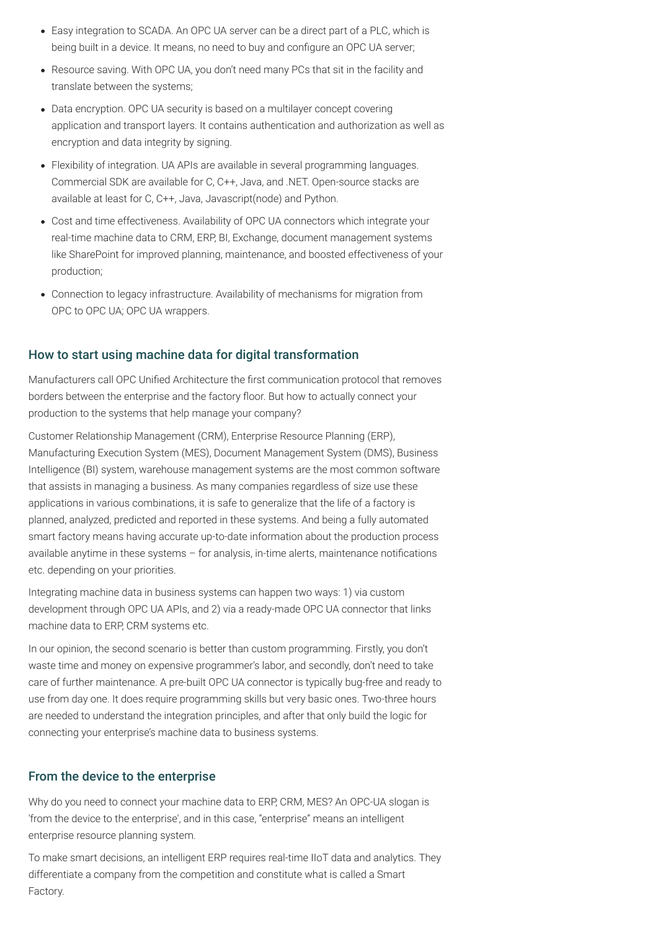- Easy integration to SCADA. An OPC UA server can be a direct part of a PLC, which is being built in a device. It means, no need to buy and configure an OPC UA server;
- Resource saving. With OPC UA, you don't need many PCs that sit in the facility and translate between the systems;
- Data encryption. OPC UA security is based on a multilayer concept covering application and transport layers. It contains authentication and authorization as well as encryption and data integrity by signing.
- Flexibility of integration. UA APIs are available in several programming languages. Commercial SDK are available for C, C++, Java, and .NET. Open-source stacks are available at least for C, C++, Java, Javascript(node) and Python.
- Cost and time effectiveness. Availability of OPC UA connectors which integrate your real-time machine data to CRM, ERP, BI, Exchange, document management systems like SharePoint for improved planning, maintenance, and boosted effectiveness of your production;
- Connection to legacy infrastructure. Availability of mechanisms for migration from OPC to OPC UA; OPC UA wrappers.

Manufacturers call OPC Unified Architecture the first communication protocol that removes borders between the enterprise and the factory floor. But how to actually connect your production to the systems that help manage your company?

## How to start using machine data for digital transformation

Customer Relationship Management (CRM), Enterprise Resource Planning (ERP), Manufacturing Execution System (MES), Document Management System (DMS), Business Intelligence (BI) system, warehouse management systems are the most common software that assists in managing a business. As many companies regardless of size use these applications in various combinations, it is safe to generalize that the life of a factory is planned, analyzed, predicted and reported in these systems. And being a fully automated smart factory means having accurate up-to-date information about the production process available anytime in these systems  $-$  for analysis, in-time alerts, maintenance notifications etc. depending on your priorities.

Integrating machine data in business systems can happen two ways: 1) via custom development through OPC UA APIs, and 2) via a ready-made OPC UA connector that links machine data to ERP, CRM systems etc.

In our opinion, the second scenario is better than custom programming. Firstly, you don't waste time and money on expensive programmer's labor, and secondly, don't need to take care of further maintenance. A pre-built OPC UA connector is typically bug-free and ready to use from day one. It does require programming skills but very basic ones. Two-three hours are needed to understand the integration principles, and after that only build the logic for connecting your enterprise's machine data to business systems.

## From the device to the enterprise

Why do you need to connect your machine data to ERP, CRM, MES? An OPC-UA slogan is 'from the device to the enterprise', and in this case, "enterprise" means an intelligent enterprise resource planning system.

To make smart decisions, an intelligent ERP requires real-time IIoT data and analytics. They differentiate a company from the competition and constitute what is called a Smart Factory.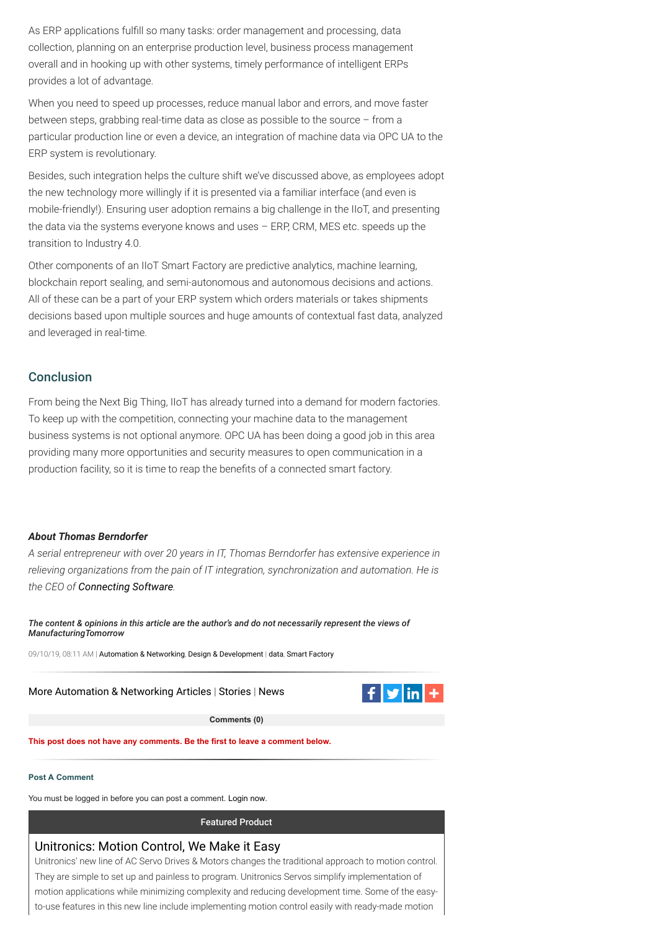[More Automation & Networking Articles](https://www.manufacturingtomorrow.com/articlefeed/automation-networking/) | [Stories](https://www.manufacturingtomorrow.com/stream/stories/) | [News](https://www.manufacturingtomorrow.com/stream/news/)



As ERP applications fulfill so many tasks: order management and processing, data collection, planning on an enterprise production level, business process management overall and in hooking up with other systems, timely performance of intelligent ERPs provides a lot of advantage.

When you need to speed up processes, reduce manual labor and errors, and move faster between steps, grabbing real-time data as close as possible to the source – from a particular production line or even a device, an integration of machine data via OPC UA to the ERP system is revolutionary.

From being the Next Big Thing, IIoT has already turned into a demand for modern factories. To keep up with the competition, connecting your machine data to the management business systems is not optional anymore. OPC UA has been doing a good job in this area providing many more opportunities and security measures to open communication in a production facility, so it is time to reap the benefits of a connected smart factory.

Besides, such integration helps the culture shift we've discussed above, as employees adopt the new technology more willingly if it is presented via a familiar interface (and even is mobile-friendly!). Ensuring user adoption remains a big challenge in the IIoT, and presenting the data via the systems everyone knows and uses – ERP, CRM, MES etc. speeds up the transition to Industry 4.0.

Other components of an IIoT Smart Factory are predictive analytics, machine learning, blockchain report sealing, and semi-autonomous and autonomous decisions and actions. All of these can be a part of your ERP system which orders materials or takes shipments decisions based upon multiple sources and huge amounts of contextual fast data, analyzed and leveraged in real-time.

## **Conclusion**

## *About Thomas Berndorfer*

*A serial entrepreneur with over 20 years in IT, Thomas Berndorfer has extensive experience in relieving organizations from the pain of IT integration, synchronization and automation. He is the CEO of [Connecting Software](https://www.connecting-software.com/).*

*The content & opinions in this article are the author's and do not necessarily represent the views of ManufacturingTomorrow*

09/10/19, 08:11 AM | [Automation & Networking](https://www.manufacturingtomorrow.com/category/automation-networking), [Design & Development](https://www.manufacturingtomorrow.com/category/design-other) | [data](https://www.manufacturingtomorrow.com/tag/data), [Smart Factory](https://www.manufacturingtomorrow.com/tag/smart-factory)



**Comments (0)**

#### **This post does not have any comments. Be the first to leave a comment below.**

**Post A Comment**

You must be logged in before you can post a comment. [Login now.](https://www.manufacturingtomorrow.com/site_services.php)

Featured Product

## [Unitronics: Motion Control, We Make it Easy](https://www.manufacturingtomorrow.com/products.php?track=925)

Unitronics' new line of AC Servo Drives & Motors changes the traditional approach to motion control. They are simple to set up and painless to program. Unitronics Servos simplify implementation of motion applications while minimizing complexity and reducing development time. Some of the easyto-use features in this new line include implementing motion control easily with ready-made motion